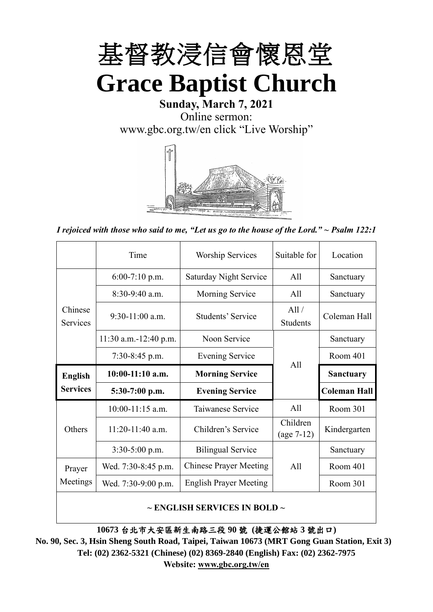

# **Sunday, March 7, 2021** Online sermon: [www.gbc.org.tw/en](http://www.gbc.org.tw/en) click "Live Worship"



*I rejoiced with those who said to me, "Let us go to the house of the Lord." ~ Psalm 122:1*

|                            | Time                  | <b>Worship Services</b>       |                          | Location            |
|----------------------------|-----------------------|-------------------------------|--------------------------|---------------------|
|                            | $6:00-7:10$ p.m.      | <b>Saturday Night Service</b> | All                      | Sanctuary           |
|                            | $8:30-9:40$ a.m.      | <b>Morning Service</b>        | All                      | Sanctuary           |
| Chinese<br><b>Services</b> | $9:30-11:00$ a.m.     | Students' Service             | All /<br><b>Students</b> | Coleman Hall        |
|                            | 11:30 a.m.-12:40 p.m. | Noon Service                  |                          | Sanctuary           |
|                            | $7:30-8:45$ p.m.      | <b>Evening Service</b>        | All                      |                     |
|                            |                       |                               |                          |                     |
| <b>English</b>             | $10:00-11:10$ a.m.    | <b>Morning Service</b>        |                          | <b>Sanctuary</b>    |
| <b>Services</b>            | $5:30-7:00$ p.m.      | <b>Evening Service</b>        |                          | <b>Coleman Hall</b> |
|                            | $10:00-11:15$ a.m.    | Taiwanese Service             | A11                      | Room 301            |
| Others                     | $11:20-11:40$ a.m.    | Children's Service            | Children<br>$(age 7-12)$ | Kindergarten        |
|                            | $3:30-5:00$ p.m.      | <b>Bilingual Service</b>      |                          | Sanctuary           |
| Prayer                     | Wed. 7:30-8:45 p.m.   | <b>Chinese Prayer Meeting</b> | A11                      | Room 401            |
| Meetings                   | Wed. 7:30-9:00 p.m.   | <b>English Prayer Meeting</b> |                          | Room 301            |

#### **~ ENGLISH SERVICES IN BOLD ~**

**10673** 台北市大安區新生南路三段 **90** 號 **(**捷運公館站 **3** 號出口**)**

**No. 90, Sec. 3, Hsin Sheng South Road, Taipei, Taiwan 10673 (MRT Gong Guan Station, Exit 3) Tel: (02) 2362-5321 (Chinese) (02) 8369-2840 (English) Fax: (02) 2362-7975 Website: [www.gbc.org.tw/en](http://www.gbc.org.tw/en)**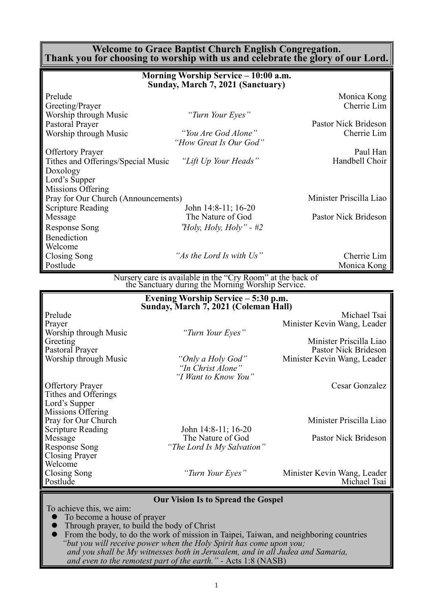#### **Welcome to Grace Baptist Church English Congregation. Thank you for choosing to worship with us and celebrate the glory of our Lord.**

| Morning Worship Service - 10:00 a.m.<br>Sunday, March 7, 2021 (Sanctuary) |                                                                                                                 |                             |  |  |
|---------------------------------------------------------------------------|-----------------------------------------------------------------------------------------------------------------|-----------------------------|--|--|
| Prelude                                                                   |                                                                                                                 | Monica Kong                 |  |  |
| Greeting/Prayer                                                           |                                                                                                                 | Cherrie Lim                 |  |  |
| Worship through Music                                                     | "Turn Your Eyes"                                                                                                |                             |  |  |
| Pastoral Prayer                                                           |                                                                                                                 | Pastor Nick Brideson        |  |  |
| Worship through Music                                                     | "You Are God Alone"                                                                                             | Cherrie Lim                 |  |  |
|                                                                           | "How Great Is Our God"                                                                                          |                             |  |  |
| <b>Offertory Prayer</b>                                                   |                                                                                                                 | Paul Han                    |  |  |
| Tithes and Offerings/Special Music                                        | "Lift Up Your Heads"                                                                                            | Handbell Choir              |  |  |
| Doxology                                                                  |                                                                                                                 |                             |  |  |
| Lord's Supper                                                             |                                                                                                                 |                             |  |  |
| Missions Offering                                                         |                                                                                                                 |                             |  |  |
| Pray for Our Church (Announcements)                                       |                                                                                                                 | Minister Priscilla Liao     |  |  |
| <b>Scripture Reading</b>                                                  | John 14:8-11; 16-20                                                                                             |                             |  |  |
| Message                                                                   | The Nature of God                                                                                               | Pastor Nick Brideson        |  |  |
| <b>Response Song</b>                                                      | <i>Holy, Holy, Holy</i> " - #2                                                                                  |                             |  |  |
| Benediction                                                               |                                                                                                                 |                             |  |  |
| Welcome                                                                   |                                                                                                                 |                             |  |  |
| Closing Song                                                              | "As the Lord Is with Us"                                                                                        | Cherrie Lim                 |  |  |
| Postlude                                                                  |                                                                                                                 | Monica Kong                 |  |  |
|                                                                           | Nursery care is available in the "Cry Room" at the back of<br>the Sanctuary during the Morning Worship Service. |                             |  |  |
|                                                                           | Evening Worship Service – 5:30 p.m.                                                                             |                             |  |  |
|                                                                           | Sunday, March 7, 2021 (Coleman Hall)                                                                            |                             |  |  |
| Prelude                                                                   |                                                                                                                 | Michael Tsai                |  |  |
| Prayer                                                                    |                                                                                                                 | Minister Kevin Wang, Leader |  |  |
| Worship through Music                                                     | "Turn Your Eyes"                                                                                                |                             |  |  |
| Greeting                                                                  |                                                                                                                 | Minister Priscilla Liao     |  |  |
| Pastoral Prayer                                                           |                                                                                                                 | Pastor Nick Brideson        |  |  |
| Worship through Music                                                     | "Only a Holy God"<br>"In Christ Alone"                                                                          | Minister Kevin Wang, Leader |  |  |
|                                                                           | "I Want to Know You"                                                                                            |                             |  |  |
| <b>Offertory Prayer</b>                                                   |                                                                                                                 | <b>Cesar Gonzalez</b>       |  |  |
| Tithes and Offerings                                                      |                                                                                                                 |                             |  |  |
| Lord's Supper                                                             |                                                                                                                 |                             |  |  |
| Missions Offering                                                         |                                                                                                                 |                             |  |  |
| Pray for Our Church                                                       |                                                                                                                 | Minister Priscilla Liao     |  |  |
| <b>Scripture Reading</b>                                                  | John 14:8-11; 16-20                                                                                             |                             |  |  |

Message The Nature of God Pastor Nick Brideson<br>Response Song *The Lord Is My Salvation*"

"The Lord Is My Salvation"

Closing Song *"Turn Your Eyes"* Minister Kevin Wang, Leader Michael Tsai

#### **Our Vision Is to Spread the Gospel**

To achieve this, we aim:

Closing Prayer Welcome<br>Closing Song

- ⚫ To become a house of prayer
- ⚫ Through prayer, to build the body of Christ

Scripture Reading<br>Message John 14:8-11; 16-20<br>The Nature of God

⚫ From the body, to do the work of mission in Taipei, Taiwan, and neighboring countries *"but you will receive power when the Holy Spirit has come upon you; and you shall be My witnesses both in Jerusalem, and in all Judea and Samaria, and even to the remotest part of the earth." -* Acts 1:8 (NASB)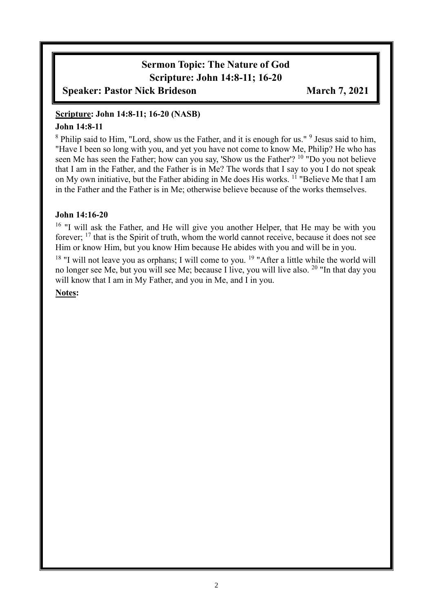# **Sermon Topic: The Nature of God Scripture: John 14:8-11; 16-20**

**Speaker: Pastor Nick Brideson March 7, 2021**

### **Scripture: John 14:8-11; 16-20 (NASB)**

### **John 14:8-11**

<sup>8</sup> Philip said to Him, "Lord, show us the Father, and it is enough for us." <sup>9</sup> Jesus said to him, "Have I been so long with you, and yet you have not come to know Me, Philip? He who has seen Me has seen the Father; how can you say, 'Show us the Father'? <sup>10</sup> "Do you not believe that I am in the Father, and the Father is in Me? The words that I say to you I do not speak on My own initiative, but the Father abiding in Me does His works. <sup>11</sup> "Believe Me that I am in the Father and the Father is in Me; otherwise believe because of the works themselves.

### **John 14:16-20**

<sup>16</sup> "I will ask the Father, and He will give you another Helper, that He may be with you forever; <sup>17</sup> that is the Spirit of truth, whom the world cannot receive, because it does not see Him or know Him, but you know Him because He abides with you and will be in you.

 $18$  "I will not leave you as orphans; I will come to you.  $19$  "After a little while the world will no longer see Me, but you will see Me; because I live, you will live also. <sup>20</sup> "In that day you will know that I am in My Father, and you in Me, and I in you.

#### **Notes:**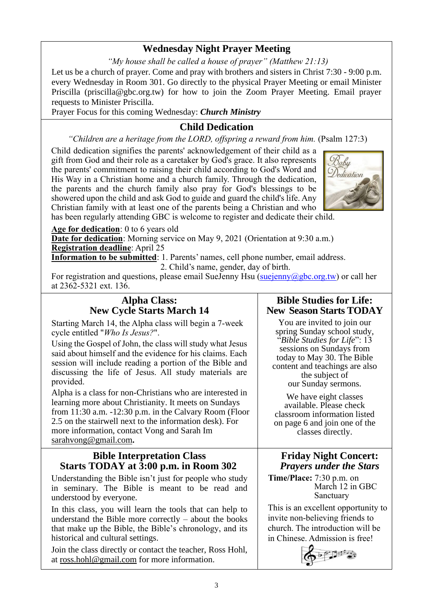### **Wednesday Night Prayer Meeting**

*"My house shall be called a house of prayer" (Matthew 21:13)*

Let us be a church of prayer. Come and pray with brothers and sisters in Christ 7:30 - 9:00 p.m. every Wednesday in Room 301. Go directly to the physical Prayer Meeting or email Minister Priscilla (priscilla@gbc.org.tw) for how to join the Zoom Prayer Meeting. Email prayer requests to Minister Priscilla.

Prayer Focus for this coming Wednesday: *Church Ministry*

# **Child Dedication**

*"Children are a heritage from the LORD, offspring a reward from him.* (Psalm 127:3)

Child dedication signifies the parents' acknowledgement of their child as a gift from God and their role as a caretaker by God's grace. It also represents the parents' commitment to raising their child according to God's Word and His Way in a Christian home and a church family. Through the dedication, the parents and the church family also pray for God's blessings to be showered upon the child and ask God to guide and guard the child's life. Any Christian family with at least one of the parents being a Christian and who



has been regularly attending GBC is welcome to register and dedicate their child.

**Age for dedication**: 0 to 6 years old

**Date for dedication**: Morning service on May 9, 2021 (Orientation at 9:30 a.m.) **Registration deadline**: April 25

**Information to be submitted**: 1. Parents' names, cell phone number, email address. 2. Child's name, gender, day of birth.

For registration and questions, please email SueJenny Hsu ( $\frac{\text{Suejenn}}{\text{Suejenn}}$ ) or call her at 2362-5321 ext. 136.

### **Alpha Class: New Cycle Starts March 14**

Starting March 14, the Alpha class will begin a 7-week cycle entitled "*Who Is Jesus?*".

Using the Gospel of John, the class will study what Jesus said about himself and the evidence for his claims. Each session will include reading a portion of the Bible and discussing the life of Jesus. All study materials are provided.

Alpha is a class for non-Christians who are interested in learning more about Christianity. It meets on Sundays from 11:30 a.m. -12:30 p.m. in the Calvary Room (Floor 2.5 on the stairwell next to the information desk). For more information, contact Vong and Sarah Im [sarahvong@gmail.com](mailto:sarahvong@gmail.com)**.**

### **Bible Interpretation Class Starts TODAY at 3:00 p.m. in Room 302**

Understanding the Bible isn't just for people who study in seminary. The Bible is meant to be read and understood by everyone.

In this class, you will learn the tools that can help to understand the Bible more correctly – about the books that make up the Bible, the Bible's chronology, and its historical and cultural settings.

Join the class directly or contact the teacher, Ross Hohl, at [ross.hohl@gmail.com](mailto:ross.hohl@gmail.com) for more information.

# **Bible Studies for Life: New Season Starts TODAY**

You are invited to join our spring Sunday school study, "*Bible Studies for Life*": 13 sessions on Sundays from today to May 30. The Bible content and teachings are also the subject of our Sunday sermons.

We have eight classes available. Please check classroom information listed on page 6 and join one of the classes directly.

# **Friday Night Concert:**  *Prayers under the Stars*

**Time/Place:** 7:30 p.m. on March 12 in GBC Sanctuary

This is an excellent opportunity to invite non-believing friends to church. The introduction will be in Chinese. Admission is free!

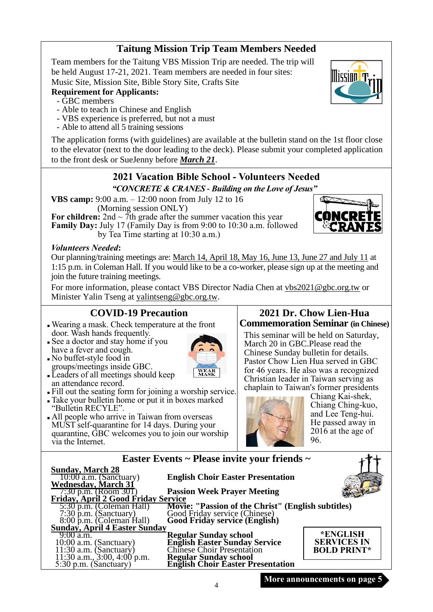# **Taitung Mission Trip Team Members Needed**

Team members for the Taitung VBS Mission Trip are needed. The trip will be held August 17-21, 2021. Team members are needed in four sites: Music Site, Mission Site, Bible Story Site, Crafts Site

## **Requirement for Applicants:**

- GBC members
- Able to teach in Chinese and English
- VBS experience is preferred, but not a must
- Able to attend all 5 training sessions

The application forms (with guidelines) are available at the bulletin stand on the 1st floor close to the elevator (next to the door leading to the deck). Please submit your completed application to the front desk or SueJenny before *March 21*.

### **2021 Vacation Bible School - Volunteers Needed** *"CONCRETE & CRANES - Building on the Love of Jesus"*

**VBS camp:** 9:00 a.m. – 12:00 noon from July 12 to 16 (Morning session ONLY)

**For children:**  $2nd \sim 7th$  grade after the summer vacation this year **Family Day:** July 17 (Family Day is from 9:00 to 10:30 a.m. followed by Tea Time starting at 10:30 a.m.)

#### *Volunteers Needed***:**

Our planning/training meetings are: March 14, April 18, May 16, June 13, June 27 and July 11 at 1:15 p.m. in Coleman Hall. If you would like to be a co-worker, please sign up at the meeting and join the future training meetings.

For more information, please contact VBS Director Nadia Chen at [vbs2021@gbc.org.tw](mailto:vbs2021@gbc.org.tw) or Minister Yalin Tseng at yalintseng@gbc.org.tw.

WEAR<br>MASK

### **COVID-19 Precaution**

- <sup>◼</sup> Wearing a mask. Check temperature at the front door. Wash hands frequently.
- See a doctor and stay home if you have a fever and cough.
- <sup>◼</sup> No buffet-style food in groups/meetings inside GBC.
- Leaders of all meetings should keep an attendance record.
- <sup>◼</sup> Fill out the seating form for joining a worship service.
- <sup>◼</sup> Take your bulletin home or put it in boxes marked "Bulletin RECYLE".
- All people who arrive in Taiwan from overseas MUST self-quarantine for 14 days. During your quarantine, GBC welcomes you to join our worship via the Internet.

### **2021 Dr. Chow Lien-Hua Commemoration Seminar (in Chinese)**

This seminar will be held on Saturday, March 20 in GBC.Please read the Chinese Sunday bulletin for details. Pastor Chow Lien Hua served in GBC for 46 years. He also was a recognized Christian leader in Taiwan serving as chaplain to Taiwan's former presidents



Chiang Kai-shek, Chiang Ching-kuo, and Lee Teng-hui. He passed away in 2016 at the age of 96.

 $\ddot{\phantom{1}}$ 

|                                      | Easter Events ~ Please invite your friends ~                                                                         |                    |
|--------------------------------------|----------------------------------------------------------------------------------------------------------------------|--------------------|
| <b>Sunday, March 28</b>              |                                                                                                                      |                    |
| $10:00$ a.m. (Sanctuary)             | <b>English Choir Easter Presentation</b>                                                                             |                    |
| <b>Wednesday, March 31</b>           |                                                                                                                      |                    |
| 7:30 p.m. (Room 301)                 | <b>Passion Week Prayer Meeting</b>                                                                                   |                    |
| Friday, April 2 Good Friday Service  |                                                                                                                      |                    |
| 5:30 p.m. (Coleman Hall)             | Movie: "Passion of the Christ" (English subtitles)<br>Good Friday service (Chinese)<br>Good Friday service (English) |                    |
| $7:30 \text{ p.m.}$ (Sanctuary)      |                                                                                                                      |                    |
| 8:00 p.m. (Coleman Hall)             |                                                                                                                      |                    |
| <b>Sunday, April 4 Easter Sunday</b> |                                                                                                                      |                    |
| $9:00$ a.m.                          | <b>Regular Sunday school</b>                                                                                         | *ENGLISH           |
| $10:00$ a.m. (Sanctuary)             |                                                                                                                      | <b>SERVICES IN</b> |
| $11:30$ a.m. (Sanctuary)             | <b>English Easter Sunday Service</b><br>Chinese Choir Presentation                                                   | <b>BOLD PRINT*</b> |
| 11:30 a.m., $3:00, 4:00$ p.m.        |                                                                                                                      |                    |
| 5:30 p.m. (Sanctuary)                | Regular Sunday school<br>English Choir Easter Presentation                                                           |                    |



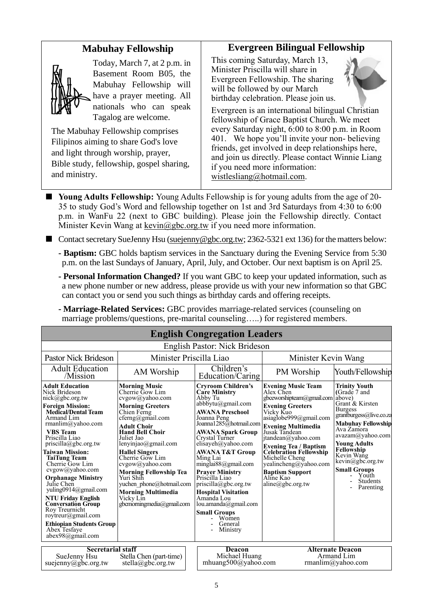### **Mabuhay Fellowship**



Today, March 7, at 2 p.m. in Basement Room B05, the Mabuhay Fellowship will have a prayer meeting. All nationals who can speak Tagalog are welcome.

The Mabuhay Fellowship comprises Filipinos aiming to share God's love and light through worship, prayer, Bible study, fellowship, gospel sharing, and ministry.

### **Evergreen Bilingual Fellowship**

This coming Saturday, March 13, Minister Priscilla will share in Evergreen Fellowship. The sharing will be followed by our March birthday celebration. Please join us.



Evergreen is an international bilingual Christian fellowship of Grace Baptist Church. We meet every Saturday night, 6:00 to 8:00 p.m. in Room 401. We hope you'll invite your non- believing friends, get involved in deep relationships here, and join us directly. Please contact Winnie Liang if you need more information: [wistlesliang@hotmail.com.](mailto:wistlesliang@hotmail.com)

- **Young Adults Fellowship:** Young Adults Fellowship is for young adults from the age of 20-35 to study God's Word and fellowship together on 1st and 3rd Saturdays from 4:30 to 6:00 p.m. in WanFu 22 (next to GBC building). Please join the Fellowship directly. Contact Minister Kevin Wang at kevin@gbc.org.tw if you need more information.
- Contact secretary SueJenny Hsu [\(suejenny@gbc.org.tw;](mailto:suejenny@gbc.org.tw) 2362-5321 ext 136) for the matters below:
	- **- Baptism:** GBC holds baptism services in the Sanctuary during the Evening Service from 5:30 p.m. on the last Sundays of January, April, July, and October. Our next baptism is on April 25.
	- **- Personal Information Changed?** If you want GBC to keep your updated information, such as a new phone number or new address, please provide us with your new information so that GBC can contact you or send you such things as birthday cards and offering receipts.
	- **- Marriage-Related Services:** GBC provides marriage-related services (counseling on marriage problems/questions, pre-marital counseling…..) for registered members.

| <b>English Congregation Leaders</b>                                                                                                                                                                                                                                                                                                                                                                                                                                                                                                                                                  |                                                                                                                                                                                                                                                                                                                                                                                                                                                                                                                                                                                                                                                                                                                                                                                                                                                                                                              |                                                |                                                                                                                                                                                                                                                                                                                                                                                                          |                                                                                                                                                                                                                                                                                                                      |  |
|--------------------------------------------------------------------------------------------------------------------------------------------------------------------------------------------------------------------------------------------------------------------------------------------------------------------------------------------------------------------------------------------------------------------------------------------------------------------------------------------------------------------------------------------------------------------------------------|--------------------------------------------------------------------------------------------------------------------------------------------------------------------------------------------------------------------------------------------------------------------------------------------------------------------------------------------------------------------------------------------------------------------------------------------------------------------------------------------------------------------------------------------------------------------------------------------------------------------------------------------------------------------------------------------------------------------------------------------------------------------------------------------------------------------------------------------------------------------------------------------------------------|------------------------------------------------|----------------------------------------------------------------------------------------------------------------------------------------------------------------------------------------------------------------------------------------------------------------------------------------------------------------------------------------------------------------------------------------------------------|----------------------------------------------------------------------------------------------------------------------------------------------------------------------------------------------------------------------------------------------------------------------------------------------------------------------|--|
| English Pastor: Nick Brideson                                                                                                                                                                                                                                                                                                                                                                                                                                                                                                                                                        |                                                                                                                                                                                                                                                                                                                                                                                                                                                                                                                                                                                                                                                                                                                                                                                                                                                                                                              |                                                |                                                                                                                                                                                                                                                                                                                                                                                                          |                                                                                                                                                                                                                                                                                                                      |  |
| Pastor Nick Brideson                                                                                                                                                                                                                                                                                                                                                                                                                                                                                                                                                                 | Minister Priscilla Liao                                                                                                                                                                                                                                                                                                                                                                                                                                                                                                                                                                                                                                                                                                                                                                                                                                                                                      |                                                | Minister Kevin Wang                                                                                                                                                                                                                                                                                                                                                                                      |                                                                                                                                                                                                                                                                                                                      |  |
| <b>Adult Education</b><br>/Mission                                                                                                                                                                                                                                                                                                                                                                                                                                                                                                                                                   | AM Worship                                                                                                                                                                                                                                                                                                                                                                                                                                                                                                                                                                                                                                                                                                                                                                                                                                                                                                   | Children's<br>Education/Caring                 | PM Worship                                                                                                                                                                                                                                                                                                                                                                                               | Youth/Fellowship                                                                                                                                                                                                                                                                                                     |  |
| <b>Adult Education</b><br>Nick Brideson<br>$nick(\widehat{a})$ gbc.org.tw<br><b>Foreign Mission:</b><br><b>Medical/Dental Team</b><br>Armand Lim<br>rmanlim@yahoo.com<br><b>VBS</b> Team<br>Priscilla Liao<br>$priscilla(\partial gbc.org.tw)$<br><b>Taiwan Mission:</b><br><b>TaiTung Team</b><br>Cherrie Gow Lim<br>cvgow@yahoo.com<br><b>Orphanage Ministry</b><br>Julie Chen<br>yuling0914@gmail.com<br><b>NTU Friday English</b><br><b>Conversation Group</b><br>Roy Treurnicht<br>rovtreur@gmail.com<br><b>Ethiopian Students Group</b><br>Abex Tesfaye<br>$abex98$ @gmail.com | <b>Morning Music</b><br><b>Cryroom Children's</b><br><b>Care Ministry</b><br>Cherrie Gow Lim<br>cvgow@yahoo.com<br>Abby Tu<br>$abbb$ ytu $(a)$ gmail.com<br><b>Morning Greeters</b><br><b>AWANA Preschool</b><br>Chien Ferng<br>cferng@gmail.com<br>Joanna Peng<br><b>Adult Choir</b><br><b>Hand Bell Choir</b><br><b>AWANA Spark Group</b><br>Juliet Jao<br>Crystal Turner<br>lenyinjao@gmail.com<br>elisayeh@yahoo.com<br><b>AWANA T&amp;T Group</b><br><b>Hallel Singers</b><br>Cherrie Gow Lim<br>Ming Lai<br>cvgow@yahoo.com<br>minglai $88$ @gmail.com<br><b>Morning Fellowship Tea</b><br><b>Prayer Ministry</b><br>Yuri Shih<br>Priscilla Liao<br>priscilla@gbc.org.tw<br>yuchen phone@hotmail.com<br><b>Morning Multimedia</b><br><b>Hospital Visitation</b><br>Amanda Lou<br>Vicky Lin<br>gbcmorningmedia@gmail.com<br>lou.amanda@gmail.com<br><b>Small Groups</b><br>Women<br>General<br>Ministry |                                                | <b>Evening Music Team</b><br>Alex Chen<br>gbceworshipteam@gmail.com<br><b>Evening Greeters</b><br>Vicky Kuo<br>asiag lobe999@gmail.com<br>Joanna 1285@hotmail.com Evening Multimedia<br>Jusak Tandean<br>itandean@yahoo.com<br><b>Evening Tea / Baptism<br/>Celebration Fellowship</b><br>Michelle Cheng<br>yealincheng@yahoo.com<br><b>Baptism Support</b><br>Aline Kao<br>$aline(\partial gbc.org.tw)$ | <b>Trinity Youth</b><br>(Grade 7 and<br>above)<br>Grant & Kirsten<br><b>Burgess</b><br>grantburgess@live.co.za<br><b>Mabuhay Fellowship</b><br>Ava Zamora<br>avazam@yahoo.com<br><b>Young Adults</b><br>Fellowship<br>Kevin Wang<br>kevin@gbc.org.tw<br><b>Small Groups</b><br>Youth<br><b>Students</b><br>Parenting |  |
| <b>Secretarial staff</b><br>SueJenny Hsu<br>Stella Chen (part-time)<br>suejenny@gbc.org.tw<br>stella@gbc.org.tw                                                                                                                                                                                                                                                                                                                                                                                                                                                                      |                                                                                                                                                                                                                                                                                                                                                                                                                                                                                                                                                                                                                                                                                                                                                                                                                                                                                                              | Deacon<br>Michael Huang<br>mhuang500@yahoo.com |                                                                                                                                                                                                                                                                                                                                                                                                          | <b>Alternate Deacon</b><br>Armand Lim<br>rmanlim@yahoo.com                                                                                                                                                                                                                                                           |  |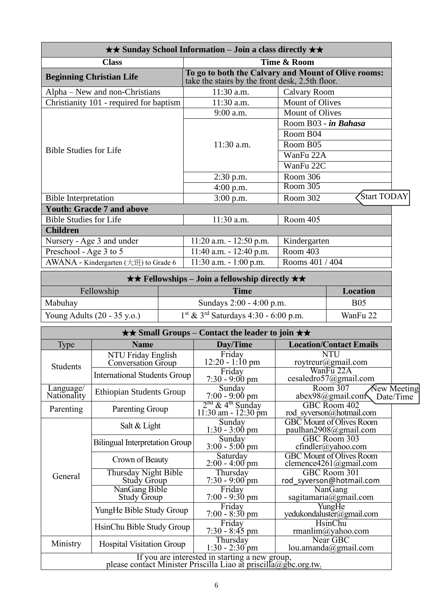| $\star\star$ Sunday School Information – Join a class directly $\star\star$ |                                                 |                                                     |  |  |
|-----------------------------------------------------------------------------|-------------------------------------------------|-----------------------------------------------------|--|--|
| Time & Room<br><b>Class</b>                                                 |                                                 |                                                     |  |  |
| <b>Beginning Christian Life</b>                                             | take the stairs by the front desk, 2.5th floor. | To go to both the Calvary and Mount of Olive rooms: |  |  |
| Alpha – New and non-Christians                                              | 11:30 a.m.<br>Calvary Room                      |                                                     |  |  |
| Christianity 101 - required for baptism                                     | 11:30 a.m.                                      | <b>Mount of Olives</b>                              |  |  |
|                                                                             | 9:00 a.m.                                       | <b>Mount of Olives</b>                              |  |  |
|                                                                             |                                                 | Room B03 - in Bahasa                                |  |  |
|                                                                             |                                                 | Room B04                                            |  |  |
|                                                                             | 11:30 a.m.                                      | Room B05                                            |  |  |
| <b>Bible Studies for Life</b>                                               |                                                 | WanFu 22A                                           |  |  |
|                                                                             |                                                 | WanFu 22C                                           |  |  |
|                                                                             | $2:30$ p.m.                                     | Room 306                                            |  |  |
|                                                                             | $4:00$ p.m.                                     | Room 305                                            |  |  |
| <b>Bible Interpretation</b>                                                 | $3:00$ p.m.                                     | Start TODAY<br>Room 302                             |  |  |
| <b>Youth: Gracde 7 and above</b>                                            |                                                 |                                                     |  |  |
| <b>Bible Studies for Life</b>                                               | 11:30 a.m.                                      | Room 405                                            |  |  |
| <b>Children</b>                                                             |                                                 |                                                     |  |  |
| Nursery - Age 3 and under                                                   | $11:20$ a.m. $-12:50$ p.m.                      | Kindergarten                                        |  |  |
| Preschool - Age 3 to 5                                                      | $11:40$ a.m. $-12:40$ p.m.                      | Room 403                                            |  |  |
| AWANA - Kindergarten (大班) to Grade 6                                        | $11:30$ a.m. $-1:00$ p.m.                       | Rooms 401 / 404                                     |  |  |

| $\star \star$ Fellowships – Join a fellowship directly $\star \star$ .                                  |                          |            |  |  |
|---------------------------------------------------------------------------------------------------------|--------------------------|------------|--|--|
| Fellowship                                                                                              | Time                     | Location   |  |  |
| Mabuhay                                                                                                 | Sundays 2:00 - 4:00 p.m. | <b>B05</b> |  |  |
| $1st$ & 3 <sup>rd</sup> Saturdays 4:30 - 6:00 p.m.<br>Young Adults $(20 - 35 \text{ y.o.})$<br>WanFu 22 |                          |            |  |  |

| $\star\star$ Small Groups – Contact the leader to join $\star\star$ |                                                                                                                   |                                                       |                                                           |  |
|---------------------------------------------------------------------|-------------------------------------------------------------------------------------------------------------------|-------------------------------------------------------|-----------------------------------------------------------|--|
| Type                                                                | <b>Name</b>                                                                                                       | Day/Time                                              | <b>Location/Contact Emails</b>                            |  |
| <b>Students</b>                                                     | NTU Friday English<br>Conversation Group                                                                          | Friday<br>$12:20 - 1:10 \text{ pm}$                   | <b>NTU</b><br>roytreur@gmail.com                          |  |
|                                                                     | <b>International Students Group</b>                                                                               | Friday<br>$7:30 - 9:00 \text{ pm}$                    | WanFu 22A<br>cesaledro57@gmail.com                        |  |
| Language/<br>Nationality                                            | <b>Ethiopian Students Group</b>                                                                                   | Sunday<br>$7:00 - 9:00$ pm                            | Room 307<br>New Meeting<br>abex98@gmail.com<br>Date/Time  |  |
| Parenting                                                           | Parenting Group                                                                                                   | $2nd$ & 4 <sup>th</sup> Sunday<br>11:30 am - 12:30 pm | GBC Room 402<br>rod syverson@hotmail.com                  |  |
|                                                                     | Salt & Light                                                                                                      | Sunday<br>$1:30 - 3:00$ pm                            | <b>GBC</b> Mount of Olives Room<br>paulhan2908@gmail.com  |  |
|                                                                     | <b>Bilingual Interpretation Group</b>                                                                             | Sunday<br>$3:00 - 5:00$ pm                            | GBC Room 303<br>$cfindler(a)$ yahoo.com                   |  |
|                                                                     | Crown of Beauty                                                                                                   | Saturday<br>$2:00 - 4:00$ pm                          | <b>GBC</b> Mount of Olives Room<br>clemence4261@gmail.com |  |
| General                                                             | Thursday Night Bible<br><b>Study Group</b>                                                                        | Thursday<br>$7:30 - 9:00$ pm                          | GBC Room 301<br>rod syverson@hotmail.com                  |  |
|                                                                     | NanGang Bible<br><b>Study Group</b>                                                                               | Friday<br>$7:00 - 9:30$ pm                            | NanGang<br>sagitamaria@gmail.com                          |  |
|                                                                     | YungHe Bible Study Group                                                                                          | Friday<br>$7:00 - 8:30$ pm                            | YungHe<br>yedukondaluster@gmail.com                       |  |
|                                                                     | HsinChu Bible Study Group                                                                                         | Friday<br>$7:30 - 8:45$ pm                            | <b>HsinChu</b><br>rmanlim@yahoo.com                       |  |
| Ministry                                                            | <b>Hospital Visitation Group</b>                                                                                  | Thursday<br>$1:30 - 2:30$ pm                          | Near GBC<br>lou.amanda@gmail.com                          |  |
|                                                                     | If you are interested in starting a new group,<br>please contact Minister Priscilla Liao at priscilla@gbc.org.tw. |                                                       |                                                           |  |